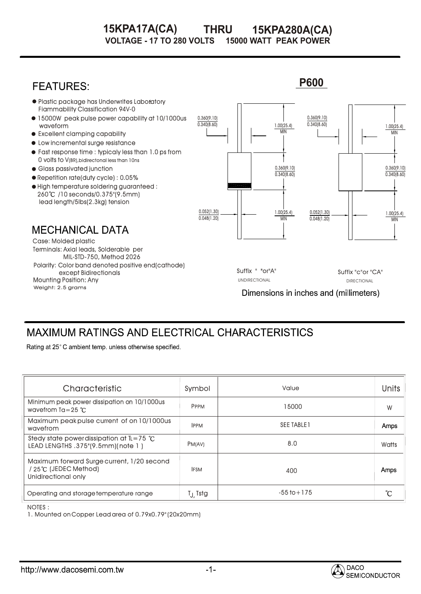### **THRU 15KPA280A(CA)**<br>LTS 15000 WATT PEAK POWER **VOLTAGE - 17 TO 280 VOLTS 15KPA17A(CA) 15KPA280A(CA)**

#### **P600 FEATURES: • Plastic package has Underwrites Laboratory** Fiammability Classification 94V-0 0.360(9.10) 15000W peak pulse power capability at 10/1000us 0.360(9.10)  $0.340(8.60)$ 0.340(8.60) 1.00(25.4) waveform 1.00(25.4) Excellent clamping capability MIN MIN  $\bullet$  Low incremental surge resistance Fast response time : typicaly less than 1.0 ps from 0 volts to V(BR),bidirectonal less than 10ns 0.360(9.10) Glass passivated junction 0.360(9.10)  $0.340(8.60)$  $0.340(8.60)$ Repetition rate(duty cycle) : 0.05%  $\bullet$  High temperature soldering guaranteed : 260 /10 seconds/0.375"(9.5mm) lead length/5lbs(2.3kg) tension 0.052(1.30) 1.00(25.4) 0.052(1.30) 1.00(25.4)  $0.048(1.20)$ 0.048(1.20) MIN MIN **MECHANICAL DATA** Case: Molded plastic Terminals: Axial leads, Solderable per MIL-STD-750, Method 2026 Polarity: Color band denoted positive end(cathode) Suffix " "or"A" Suffix "c"or "CA" except Bidirectionals Mounting Position: Any UNDIRECTIONAL DIRECTIONAL Weight: 2.5 grams Dimensions in inches and (millimeters)

# **MAXIMUM RATINGS AND ELECTRICAL CHARACTERISTICS**

Rating at 25°C ambient temp. unless otherwise specified.

| Characteristic                                                                             | Symbol               | Value             | <b>Units</b> |
|--------------------------------------------------------------------------------------------|----------------------|-------------------|--------------|
| Minimum peak power dissipation on 10/1000us<br>wavefrom $Ta = 25$ °C.                      | <b>PPPM</b>          | 15000             | W            |
| Maximum peak pulse current of on 10/1000us<br>wavefrom                                     | <b>IPPM</b>          | <b>SEE TABLET</b> | Amps         |
| Stedy state power dissipation at $\mathbb{L} = 75$ °C<br>LEAD LENGTHS .375"(9.5mm)(note 1) | PM(AV)               | 8.0               | Watts        |
| Maximum forward Surge current, 1/20 second<br>/ 25℃ (JEDEC Method)<br>Unidirectional only  | <b>IFSM</b>          | 400               | Amps         |
| Operating and storage temperature range                                                    | T <sub>J.</sub> Tstg | $-55$ to $+175$   | °C           |

### NOTES : :

1. Mounted on Copper Lead area of 0.79x0.79" (20x20mm)